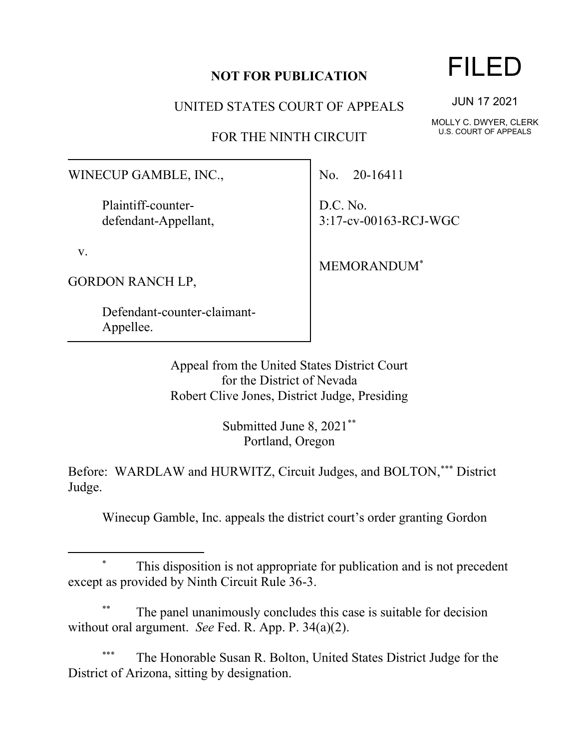## **NOT FOR PUBLICATION**

UNITED STATES COURT OF APPEALS

FOR THE NINTH CIRCUIT

WINECUP GAMBLE, INC.,

Plaintiff-counterdefendant-Appellant,

v.

GORDON RANCH LP,

Defendant-counter-claimant-Appellee.

No. 20-16411

D.C. No. 3:17-cv-00163-RCJ-WGC

MEMORANDUM\*

Appeal from the United States District Court for the District of Nevada Robert Clive Jones, District Judge, Presiding

> Submitted June 8, 2021\*\* Portland, Oregon

Before: WARDLAW and HURWITZ, Circuit Judges, and BOLTON,\*\*\* District Judge.

Winecup Gamble, Inc. appeals the district court's order granting Gordon

This disposition is not appropriate for publication and is not precedent except as provided by Ninth Circuit Rule 36-3.

The panel unanimously concludes this case is suitable for decision without oral argument. *See* Fed. R. App. P. 34(a)(2).

The Honorable Susan R. Bolton, United States District Judge for the District of Arizona, sitting by designation.

## FILED

JUN 17 2021

MOLLY C. DWYER, CLERK U.S. COURT OF APPEALS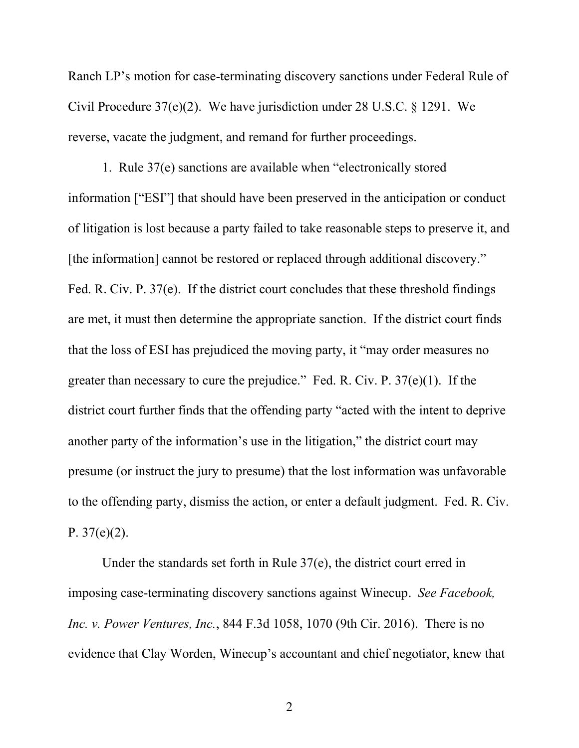Ranch LP's motion for case-terminating discovery sanctions under Federal Rule of Civil Procedure 37(e)(2). We have jurisdiction under 28 U.S.C. § 1291. We reverse, vacate the judgment, and remand for further proceedings.

1. Rule 37(e) sanctions are available when "electronically stored information ["ESI"] that should have been preserved in the anticipation or conduct of litigation is lost because a party failed to take reasonable steps to preserve it, and [the information] cannot be restored or replaced through additional discovery." Fed. R. Civ. P. 37(e). If the district court concludes that these threshold findings are met, it must then determine the appropriate sanction. If the district court finds that the loss of ESI has prejudiced the moving party, it "may order measures no greater than necessary to cure the prejudice." Fed. R. Civ. P.  $37(e)(1)$ . If the district court further finds that the offending party "acted with the intent to deprive another party of the information's use in the litigation," the district court may presume (or instruct the jury to presume) that the lost information was unfavorable to the offending party, dismiss the action, or enter a default judgment. Fed. R. Civ. P.  $37(e)(2)$ .

Under the standards set forth in Rule 37(e), the district court erred in imposing case-terminating discovery sanctions against Winecup. *See Facebook, Inc. v. Power Ventures, Inc.*, 844 F.3d 1058, 1070 (9th Cir. 2016). There is no evidence that Clay Worden, Winecup's accountant and chief negotiator, knew that

2 a set of  $\sim$  2 a set of  $\sim$  2 a set of  $\sim$  2 a set of  $\sim$  3 a set of  $\sim$  3 a set of  $\sim$  3 a set of  $\sim$  3 a set of  $\sim$  3 a set of  $\sim$  3 a set of  $\sim$  3 a set of  $\sim$  3 a set of  $\sim$  3 a set of  $\sim$  3 a set of  $\sim$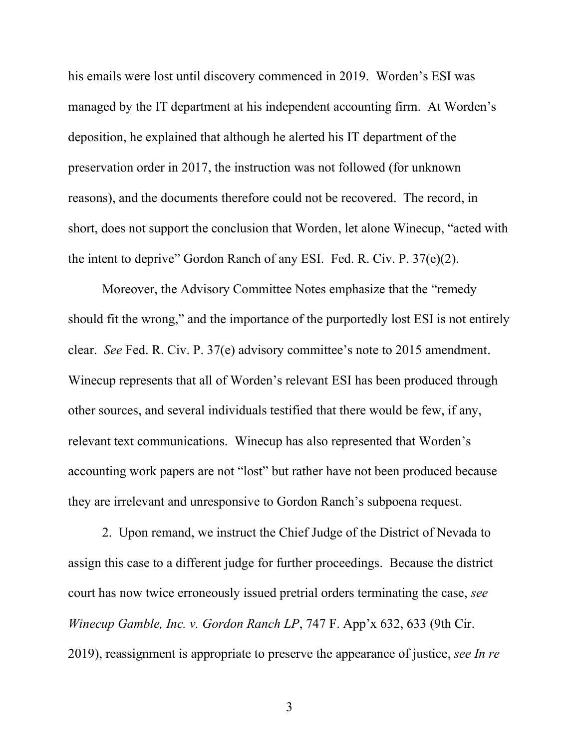his emails were lost until discovery commenced in 2019. Worden's ESI was managed by the IT department at his independent accounting firm. At Worden's deposition, he explained that although he alerted his IT department of the preservation order in 2017, the instruction was not followed (for unknown reasons), and the documents therefore could not be recovered. The record, in short, does not support the conclusion that Worden, let alone Winecup, "acted with the intent to deprive" Gordon Ranch of any ESI. Fed. R. Civ. P. 37(e)(2).

Moreover, the Advisory Committee Notes emphasize that the "remedy should fit the wrong," and the importance of the purportedly lost ESI is not entirely clear. *See* Fed. R. Civ. P. 37(e) advisory committee's note to 2015 amendment. Winecup represents that all of Worden's relevant ESI has been produced through other sources, and several individuals testified that there would be few, if any, relevant text communications. Winecup has also represented that Worden's accounting work papers are not "lost" but rather have not been produced because they are irrelevant and unresponsive to Gordon Ranch's subpoena request.

2. Upon remand, we instruct the Chief Judge of the District of Nevada to assign this case to a different judge for further proceedings. Because the district court has now twice erroneously issued pretrial orders terminating the case, *see Winecup Gamble, Inc. v. Gordon Ranch LP*, 747 F. App'x 632, 633 (9th Cir. 2019), reassignment is appropriate to preserve the appearance of justice, *see In re* 

3